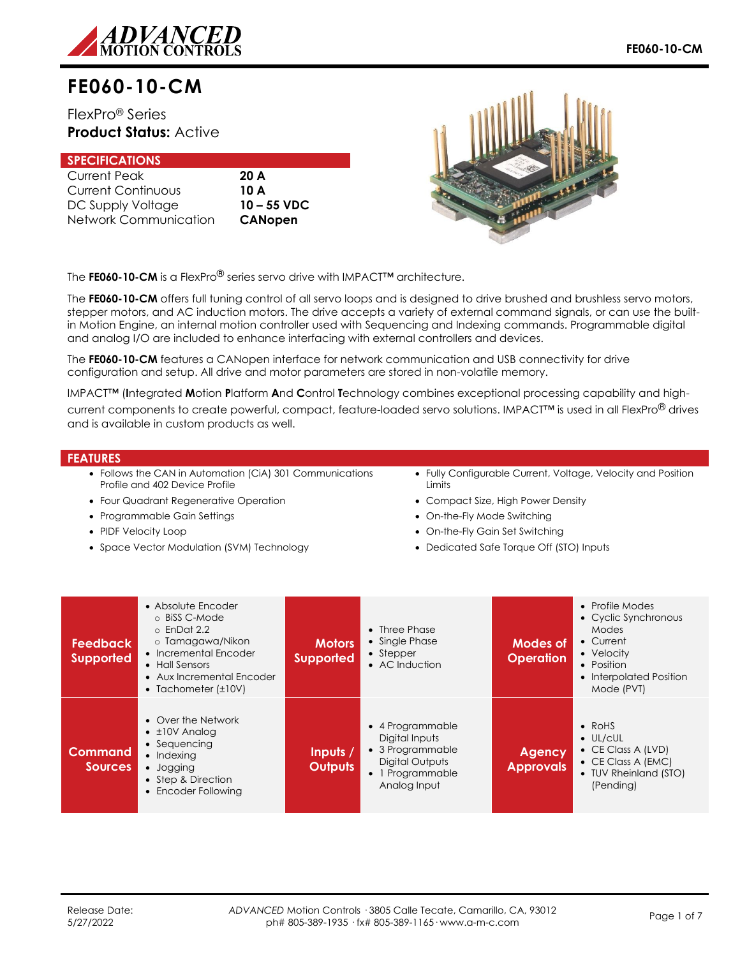

# **FE060-10-CM**

# FlexPro® Series **Product Status:** Active

| <b>SPECIFICATIONS</b>     |                |
|---------------------------|----------------|
| <b>Current Peak</b>       | 20A            |
| <b>Current Continuous</b> | 10 A           |
| DC Supply Voltage         | $10 - 55$ VDC  |
| Network Communication     | <b>CANopen</b> |



The **FE060-10-CM** is a FlexPro® series servo drive with IMPACT™ architecture.

The **FE060-10-CM** offers full tuning control of all servo loops and is designed to drive brushed and brushless servo motors, stepper motors, and AC induction motors. The drive accepts a variety of external command signals, or can use the builtin Motion Engine, an internal motion controller used with Sequencing and Indexing commands. Programmable digital and analog I/O are included to enhance interfacing with external controllers and devices.

The **FE060-10-CM** features a CANopen interface for network communication and USB connectivity for drive configuration and setup. All drive and motor parameters are stored in non-volatile memory.

IMPACT™ (**I**ntegrated **M**otion **P**latform **A**nd **C**ontrol **T**echnology combines exceptional processing capability and high-

current components to create powerful, compact, feature-loaded servo solutions. IMPACT™ is used in all FlexPro® drives and is available in custom products as well.

#### **FEATURES**

- Follows the CAN in Automation (CiA) 301 Communications Profile and 402 Device Profile
- Four Quadrant Regenerative Operation
- Programmable Gain Settings
- PIDF Velocity Loop
- Space Vector Modulation (SVM) Technology
- Fully Configurable Current, Voltage, Velocity and Position **Limits**
- Compact Size, High Power Density
- On-the-Fly Mode Switching
- On-the-Fly Gain Set Switching
- Dedicated Safe Torque Off (STO) Inputs

| <b>Feedback</b><br><b>Supported</b> | • Absolute Encoder<br>o BiSS C-Mode<br>$\circ$ EnDat 2.2<br>o Tamagawa/Nikon<br>• Incremental Encoder<br>• Hall Sensors<br>• Aux Incremental Encoder<br>• Tachometer $(\pm 10V)$ | <b>Motors</b><br><b>Supported</b> | • Three Phase<br>• Single Phase<br>$\bullet$ Stepper<br>• AC Induction                                        | <b>Modes of</b><br><b>Operation</b> | • Profile Modes<br>• Cyclic Synchronous<br>Modes<br>• Current<br>• Velocity<br>• Position<br>• Interpolated Position<br>Mode (PVT)   |
|-------------------------------------|----------------------------------------------------------------------------------------------------------------------------------------------------------------------------------|-----------------------------------|---------------------------------------------------------------------------------------------------------------|-------------------------------------|--------------------------------------------------------------------------------------------------------------------------------------|
| <b>Command</b><br><b>Sources</b>    | • Over the Network<br>$\bullet$ ±10V Analog<br>• Sequencing<br>$\bullet$ Indexing<br>• Jogging<br>• Step & Direction<br>• Encoder Following                                      | Inputs /<br><b>Outputs</b>        | • 4 Programmable<br>Digital Inputs<br>• 3 Programmable<br>Digital Outputs<br>• 1 Programmable<br>Analog Input | <b>Agency</b><br><b>Approvals</b>   | $\bullet$ RoHS<br>$\bullet$ UL/cUL<br>$\bullet$ CE Class A (LVD)<br>$\bullet$ CE Class A (EMC)<br>• TUV Rheinland (STO)<br>(Pending) |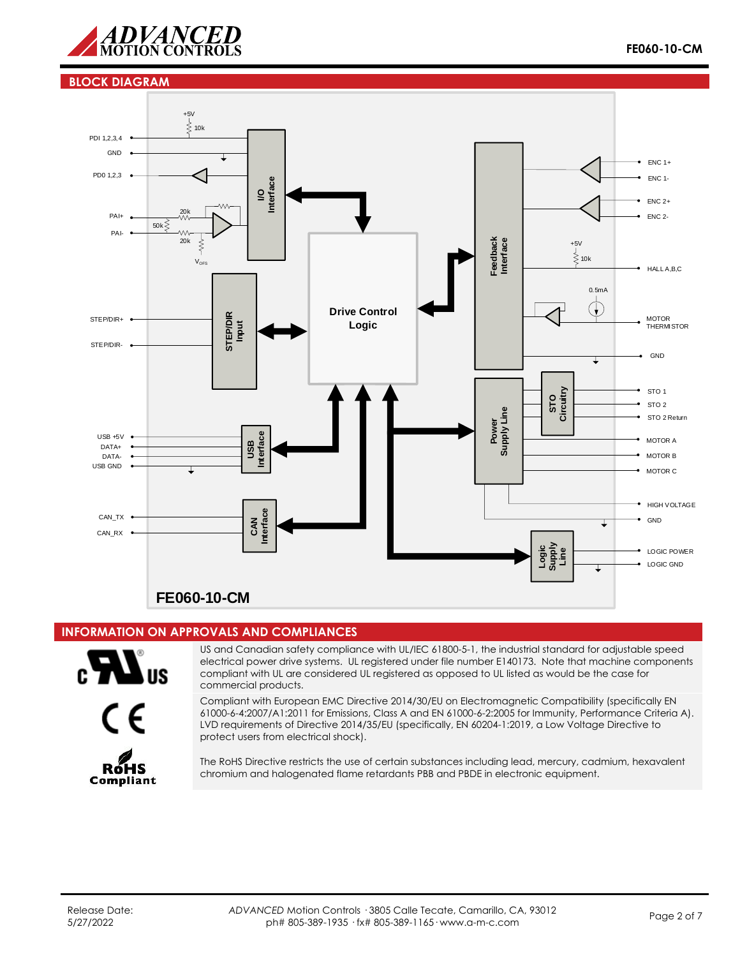

#### **BLOCK DIAGRAM**



# **INFORMATION ON APPROVALS AND COMPLIANCES**



US and Canadian safety compliance with UL/IEC 61800-5-1, the industrial standard for adjustable speed electrical power drive systems. UL registered under file number E140173. Note that machine components compliant with UL are considered UL registered as opposed to UL listed as would be the case for commercial products.



Compliant with European EMC Directive 2014/30/EU on Electromagnetic Compatibility (specifically EN 61000-6-4:2007/A1:2011 for Emissions, Class A and EN 61000-6-2:2005 for Immunity, Performance Criteria A). LVD requirements of Directive 2014/35/EU (specifically, EN 60204-1:2019, a Low Voltage Directive to protect users from electrical shock).



The RoHS Directive restricts the use of certain substances including lead, mercury, cadmium, hexavalent chromium and halogenated flame retardants PBB and PBDE in electronic equipment.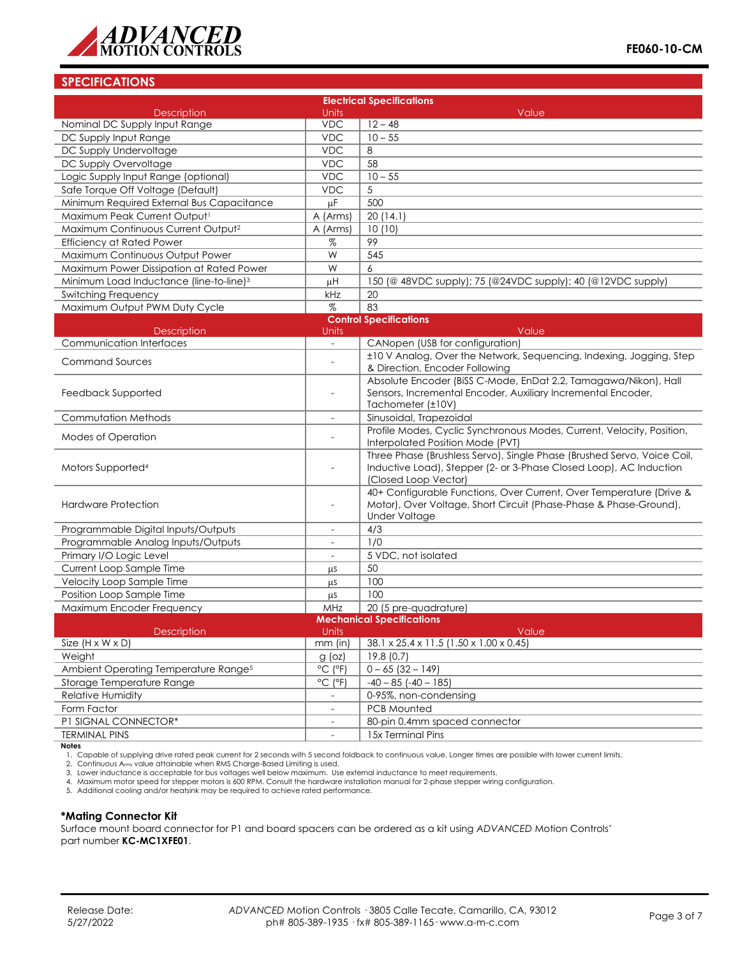

# **SPECIFICATIONS**

| <b>Electrical Specifications</b>                    |                              |                                                                                                       |  |  |  |
|-----------------------------------------------------|------------------------------|-------------------------------------------------------------------------------------------------------|--|--|--|
| <b>Description</b>                                  | Units                        | Value                                                                                                 |  |  |  |
| Nominal DC Supply Input Range                       | <b>VDC</b>                   | $12 - 48$                                                                                             |  |  |  |
| DC Supply Input Range                               | <b>VDC</b>                   | $10 - 55$                                                                                             |  |  |  |
| DC Supply Undervoltage                              | <b>VDC</b>                   | 8                                                                                                     |  |  |  |
| DC Supply Overvoltage                               | <b>VDC</b>                   | 58                                                                                                    |  |  |  |
| Logic Supply Input Range (optional)                 | <b>VDC</b>                   | $10 - 55$                                                                                             |  |  |  |
| Safe Torque Off Voltage (Default)                   | <b>VDC</b>                   | 5                                                                                                     |  |  |  |
| Minimum Required External Bus Capacitance           | μF                           | 500                                                                                                   |  |  |  |
| Maximum Peak Current Output <sup>1</sup>            | A (Arms)                     | 20(14.1)                                                                                              |  |  |  |
| Maximum Continuous Current Output <sup>2</sup>      | A (Arms)                     | 10(10)                                                                                                |  |  |  |
| <b>Efficiency at Rated Power</b>                    | %                            | 99                                                                                                    |  |  |  |
| Maximum Continuous Output Power                     | W                            | $\overline{545}$                                                                                      |  |  |  |
| Maximum Power Dissipation at Rated Power            | W                            | 6                                                                                                     |  |  |  |
| Minimum Load Inductance (line-to-line) <sup>3</sup> | μH                           | 150 (@ 48VDC supply); 75 (@24VDC supply); 40 (@12VDC supply)                                          |  |  |  |
| Switching Frequency                                 | kHz                          | 20                                                                                                    |  |  |  |
| Maximum Output PWM Duty Cycle                       | $\%$                         | 83                                                                                                    |  |  |  |
|                                                     |                              | <b>Control Specifications</b>                                                                         |  |  |  |
| <b>Description</b>                                  | Units                        | Value                                                                                                 |  |  |  |
| <b>Communication Interfaces</b>                     | $\overline{\phantom{a}}$     | CANopen (USB for configuration)                                                                       |  |  |  |
| <b>Command Sources</b>                              |                              | ±10 V Analog, Over the Network, Sequencing, Indexing, Jogging, Step<br>& Direction, Encoder Following |  |  |  |
|                                                     |                              | Absolute Encoder (BiSS C-Mode, EnDat 2.2, Tamagawa/Nikon), Hall                                       |  |  |  |
| Feedback Supported                                  | $\overline{a}$               | Sensors, Incremental Encoder, Auxiliary Incremental Encoder,                                          |  |  |  |
|                                                     |                              | Tachometer (±10V)                                                                                     |  |  |  |
| <b>Commutation Methods</b>                          | $\overline{\phantom{a}}$     | Sinusoidal, Trapezoidal                                                                               |  |  |  |
|                                                     |                              | Profile Modes, Cyclic Synchronous Modes, Current, Velocity, Position,                                 |  |  |  |
| Modes of Operation                                  |                              | Interpolated Position Mode (PVT)                                                                      |  |  |  |
|                                                     |                              | Three Phase (Brushless Servo), Single Phase (Brushed Servo, Voice Coil,                               |  |  |  |
| Motors Supported <sup>4</sup>                       |                              | Inductive Load), Stepper (2- or 3-Phase Closed Loop), AC Induction                                    |  |  |  |
|                                                     |                              | (Closed Loop Vector)                                                                                  |  |  |  |
|                                                     | $\overline{\phantom{a}}$     | 40+ Configurable Functions, Over Current, Over Temperature (Drive &                                   |  |  |  |
| <b>Hardware Protection</b>                          |                              | Motor), Over Voltage, Short Circuit (Phase-Phase & Phase-Ground),<br><b>Under Voltage</b>             |  |  |  |
| Programmable Digital Inputs/Outputs                 | $\sim$                       | 4/3                                                                                                   |  |  |  |
| Programmable Analog Inputs/Outputs                  | $\blacksquare$               | 1/0                                                                                                   |  |  |  |
| Primary I/O Logic Level                             |                              | 5 VDC, not isolated                                                                                   |  |  |  |
| Current Loop Sample Time                            |                              | 50                                                                                                    |  |  |  |
| Velocity Loop Sample Time                           | μS<br>μS                     | 100                                                                                                   |  |  |  |
| Position Loop Sample Time                           | μS                           | 100                                                                                                   |  |  |  |
| Maximum Encoder Frequency                           | MHz                          | 20 (5 pre-quadrature)                                                                                 |  |  |  |
|                                                     |                              | <b>Mechanical Specifications</b>                                                                      |  |  |  |
| Units<br>Description<br>Value                       |                              |                                                                                                       |  |  |  |
| Size $(H \times W \times D)$                        | $mm$ (in)                    | 38.1 x 25.4 x 11.5 (1.50 x 1.00 x 0.45)                                                               |  |  |  |
| Weight                                              | $g$ (oz)                     | 19.8(0.7)                                                                                             |  |  |  |
| Ambient Operating Temperature Range <sup>5</sup>    | $^{\circ}$ C ( $^{\circ}$ F) | $0 - 65$ (32 - 149)                                                                                   |  |  |  |
| Storage Temperature Range                           | $^{\circ}$ C ( $^{\circ}$ F) | $-40 - 85$ ( $-40 - 185$ )                                                                            |  |  |  |
| Relative Humidity                                   | $\blacksquare$               | 0-95%, non-condensing                                                                                 |  |  |  |
| Form Factor                                         | $\equiv$                     | PCB Mounted                                                                                           |  |  |  |
| P1 SIGNAL CONNECTOR*                                | $\overline{\phantom{a}}$     | 80-pin 0.4mm spaced connector                                                                         |  |  |  |
| <b>TERMINAL PINS</b>                                |                              | 15x Terminal Pins                                                                                     |  |  |  |

**Notes**

1. Capable of supplying drive rated peak current for 2 seconds with 5 second foldback to continuous value. Longer times are possible with lower current limits.<br>2. Continuous Arms value attainable when RMS Charge-Based Limi

4. Maximum motor speed for stepper motors is 600 RPM. Consult the hardware installation manual for 2-phase stepper wiring configuration. 5. Additional cooling and/or heatsink may be required to achieve rated performance.

#### **\*Mating Connector Kit**

Surface mount board connector for P1 and board spacers can be ordered as a kit using *ADVANCED* Motion Controls' part number **KC-MC1XFE01**.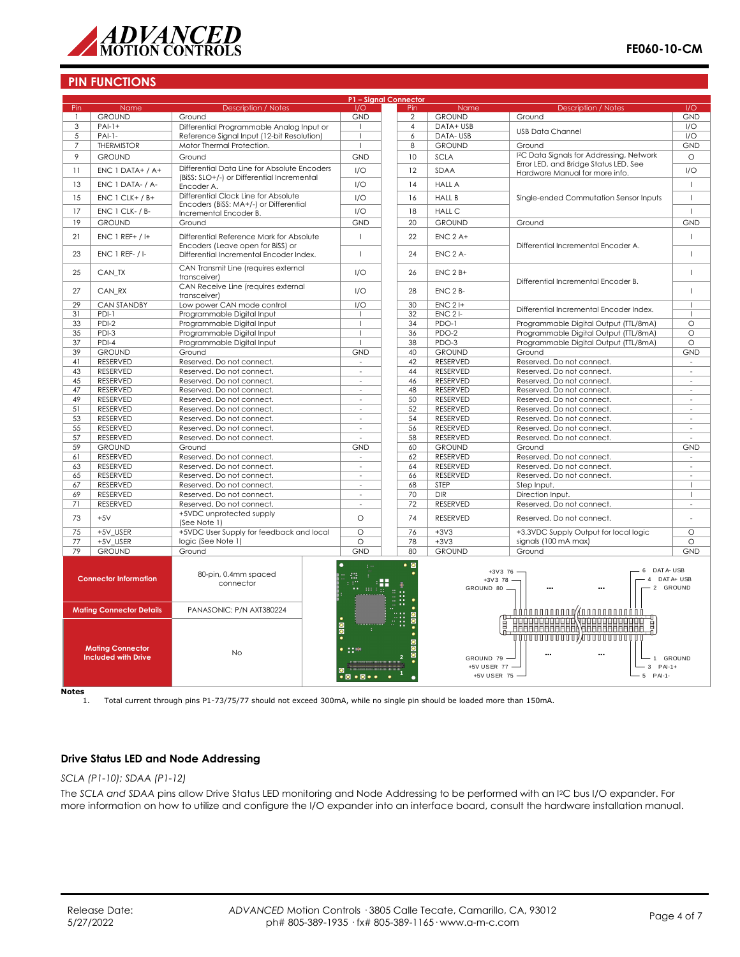

| P1 - Signal Connector |                                                                                          |                                                                               |                                                             |                                                      |                                              |                                                                         |                        |
|-----------------------|------------------------------------------------------------------------------------------|-------------------------------------------------------------------------------|-------------------------------------------------------------|------------------------------------------------------|----------------------------------------------|-------------------------------------------------------------------------|------------------------|
| Pin                   | Name                                                                                     | <b>Description / Notes</b>                                                    | 1/O                                                         | Pin                                                  | Name                                         | <b>Description / Notes</b>                                              | I/O                    |
|                       | <b>GROUND</b>                                                                            | Ground                                                                        | <b>GND</b>                                                  | $\overline{2}$                                       | <b>GROUND</b>                                | Ground                                                                  | <b>GND</b>             |
| 3                     | $PAI-1+$                                                                                 | Differential Programmable Analog Input or                                     |                                                             | $\overline{4}$                                       | DATA+ USB                                    | <b>USB Data Channel</b>                                                 | I/O                    |
| 5                     | $PAI-1-$                                                                                 | Reference Signal Input (12-bit Resolution)                                    | $\overline{1}$                                              | 6                                                    | DATA-USB                                     |                                                                         | I/O                    |
| 7                     | <b>THERMISTOR</b>                                                                        | Motor Thermal Protection.                                                     |                                                             | 8                                                    | <b>GROUND</b>                                | Ground                                                                  | <b>GND</b>             |
| 9                     | <b>GROUND</b>                                                                            | Ground                                                                        | <b>GND</b>                                                  | 10                                                   | <b>SCLA</b>                                  | <sup>12</sup> C Data Signals for Addressing, Network                    | $\circ$                |
| 11                    | ENC 1 DATA+ / A+                                                                         | Differential Data Line for Absolute Encoders                                  | 1/O                                                         | 12                                                   | SDAA                                         | Error LED, and Bridge Status LED. See<br>Hardware Manual for more info. | 1/O                    |
| 13                    | ENC 1 DATA- / A-                                                                         | (BiSS: SLO+/-) or Differential Incremental<br>Encoder A.                      | 1/O                                                         | 14                                                   | <b>HALL A</b>                                |                                                                         | $\overline{1}$         |
| 15                    | $ENC 1 CLK+ / B+$                                                                        | Differential Clock Line for Absolute                                          | I/O                                                         | 16                                                   | <b>HALL B</b>                                | Single-ended Commutation Sensor Inputs                                  | $\overline{1}$         |
| 17                    | ENC 1 CLK- / B-                                                                          | Encoders (BiSS: MA+/-) or Differential<br>Incremental Encoder B.              | 1/O                                                         | 18                                                   | <b>HALL C</b>                                |                                                                         | $\mathbf{I}$           |
| 19                    | <b>GROUND</b>                                                                            | Ground                                                                        | <b>GND</b>                                                  | 20                                                   | <b>GROUND</b>                                | Ground                                                                  | <b>GND</b>             |
|                       |                                                                                          |                                                                               |                                                             |                                                      |                                              |                                                                         |                        |
| 21                    | $ENC 1 REF+ / H$                                                                         | Differential Reference Mark for Absolute<br>Encoders (Leave open for BiSS) or | $\overline{1}$                                              | 22                                                   | $ENC$ 2 A+                                   | Differential Incremental Encoder A.                                     | $\overline{1}$         |
| 23                    | $FNC$ 1 RFF- $/$ I-                                                                      | Differential Incremental Encoder Index.                                       | $\overline{1}$                                              | 24                                                   | FNC 2 A-                                     |                                                                         | $\mathbf{I}$           |
| 25                    | CAN_TX                                                                                   | CAN Transmit Line (requires external<br>transceiver)                          | I/O                                                         | 26                                                   | $ENC$ 2 $B+$                                 | Differential Incremental Encoder B.                                     |                        |
| 27                    | CAN RX                                                                                   | CAN Receive Line (requires external<br>transceiver)                           | I/O                                                         | 28                                                   | ENC <sub>2</sub> B-                          |                                                                         | $\overline{1}$         |
| 29                    | <b>CAN STANDBY</b>                                                                       | Low power CAN mode control                                                    | 1/O                                                         | 30                                                   | $ENC$ 2 $H$                                  | Differential Incremental Encoder Index.                                 | -1                     |
| 31                    | PDI-1                                                                                    | Programmable Digital Input                                                    |                                                             | 32                                                   | $ENC2$ -                                     |                                                                         | $\overline{1}$         |
| 33                    | $PDI-2$                                                                                  | Programmable Digital Input                                                    |                                                             | 34                                                   | PDO-1                                        | Programmable Digital Output (TTL/8mA)                                   | $\circ$                |
| 35                    | PDI-3                                                                                    | Programmable Digital Input                                                    | $\mathbf{I}$                                                | 36                                                   | PDO-2                                        | Programmable Digital Output (TTL/8mA)                                   | $\circ$                |
| 37                    | $PDI-4$                                                                                  | Programmable Digital Input                                                    |                                                             | 38                                                   | PDO-3                                        | Programmable Digital Output (TTL/8mA)                                   | $\circ$                |
| 39                    | <b>GROUND</b>                                                                            | Ground                                                                        | <b>GND</b>                                                  | 40                                                   | <b>GROUND</b>                                | Ground                                                                  | <b>GND</b>             |
| 41                    | <b>RESERVED</b>                                                                          | Reserved. Do not connect.                                                     | $\overline{\phantom{a}}$                                    | 42                                                   | <b>RESERVED</b>                              | Reserved. Do not connect.                                               |                        |
| 43                    | RESERVED                                                                                 | Reserved. Do not connect.                                                     | $\sim$                                                      | 44                                                   | RESERVED                                     | Reserved. Do not connect.                                               | ÷,                     |
| 45                    | RESERVED                                                                                 | Reserved. Do not connect.                                                     | $\sim$                                                      | 46                                                   | RESERVED                                     | Reserved. Do not connect.                                               | $\bar{a}$              |
| 47                    | RESERVED                                                                                 | Reserved. Do not connect.                                                     |                                                             | 48                                                   | RESERVED                                     | Reserved. Do not connect.                                               |                        |
| 49                    | RESERVED                                                                                 | Reserved. Do not connect.                                                     | $\overline{\phantom{a}}$                                    | 50                                                   | RESERVED                                     | Reserved. Do not connect.                                               | $\bar{a}$              |
| 51                    | RESERVED                                                                                 | Reserved. Do not connect.                                                     | $\sim$                                                      | 52                                                   | RESERVED                                     | Reserved. Do not connect.                                               | ÷                      |
| 53                    | RESERVED                                                                                 | Reserved. Do not connect.                                                     | $\sim$                                                      | 54                                                   | RESERVED                                     | Reserved. Do not connect.                                               | $\sim$                 |
| 55                    | RESERVED                                                                                 | Reserved. Do not connect.                                                     | $\overline{a}$                                              | 56                                                   | RESERVED                                     | Reserved. Do not connect.                                               | ÷,                     |
| 57                    | <b>RESERVED</b>                                                                          | Reserved. Do not connect.                                                     |                                                             | 58                                                   | <b>RESERVED</b>                              | Reserved. Do not connect.                                               |                        |
| 59                    | <b>GROUND</b>                                                                            | Ground                                                                        | <b>GND</b>                                                  | 60                                                   | <b>GROUND</b>                                | Ground                                                                  | <b>GND</b>             |
| 61                    | RESERVED                                                                                 | Reserved. Do not connect.                                                     | $\sim$                                                      | 62                                                   | RESERVED                                     | Reserved. Do not connect.                                               |                        |
| 63                    | RESERVED                                                                                 | Reserved. Do not connect.                                                     | ÷.                                                          | 64                                                   | RESERVED                                     | Reserved. Do not connect.                                               | $\sim$                 |
| 65                    | RESERVED                                                                                 | Reserved. Do not connect.                                                     | $\overline{a}$                                              | 66                                                   | RESERVED                                     | Reserved. Do not connect.                                               | ä,                     |
| 67                    | RESERVED                                                                                 | Reserved. Do not connect.                                                     | $\sim$                                                      | 68                                                   | <b>STEP</b>                                  | Step Input.                                                             | $\mathbf{I}$           |
| 69                    | RESERVED                                                                                 | Reserved. Do not connect.                                                     | $\overline{\phantom{a}}$                                    | 70                                                   | <b>DIR</b>                                   | Direction Input.                                                        | 1                      |
| 71                    | RESERVED                                                                                 | Reserved. Do not connect.                                                     | ÷.                                                          | 72                                                   | RESERVED                                     | Reserved. Do not connect.                                               |                        |
| 73                    | $+5V$                                                                                    | +5VDC unprotected supply<br>(See Note 1)                                      | $\circ$                                                     | 74                                                   | <b>RESERVED</b><br>Reserved. Do not connect. |                                                                         |                        |
| 75                    | +5V_USER                                                                                 | +5VDC User Supply for feedback and local                                      | $\circ$                                                     | 76                                                   | $+3V3$                                       | +3.3VDC Supply Output for local logic                                   | $\circ$                |
| 77                    | +5V USER                                                                                 | logic (See Note 1)                                                            | $\circ$                                                     | 78                                                   | $+3V3$                                       | signals (100 mA max)                                                    | $\circ$                |
| 79                    | <b>GROUND</b>                                                                            | Ground                                                                        | <b>GND</b>                                                  | 80                                                   | <b>GROUND</b>                                | Ground                                                                  | <b>GND</b>             |
|                       | <b>Connector Information</b>                                                             | 80-pin, 0.4mm spaced<br>connector                                             | г<br>н<br>$\pm\pm\pm$                                       | $\bullet$ 0<br>$+3V376 -$<br>$+3V378$<br>GROUND 80 - |                                              | DAT A- USB<br>6<br>4                                                    | DAT A+ USB<br>2 GROUND |
|                       | <b>Mating Connector Details</b><br><b>Mating Connector</b><br><b>Included with Drive</b> | PANASONIC: P/N AXT380224<br><b>No</b>                                         | $\bullet$ 00<br>$\sim$ 100                                  |                                                      | GROUND 79 -<br>+5V USER 77 -                 | HELELELEL YHHELELELEL<br>Ĭ<br>$\mathbf{1}$<br>$3$ PAI-1+                | GROUND                 |
|                       |                                                                                          |                                                                               | $\bullet$ $\bullet$ $\bullet$ $\bullet$ $\bullet$ $\bullet$ |                                                      | +5V USER 75 -                                | 5 PAI-1-                                                                |                        |

**Notes**

1. Total current through pins P1-73/75/77 should not exceed 300mA, while no single pin should be loaded more than 150mA.

# **Drive Status LED and Node Addressing**

#### *SCLA (P1-10); SDAA (P1-12)*

The *SCLA and SDAA* pins allow Drive Status LED monitoring and Node Addressing to be performed with an I2C bus I/O expander. For more information on how to utilize and configure the I/O expander into an interface board, consult the hardware installation manual.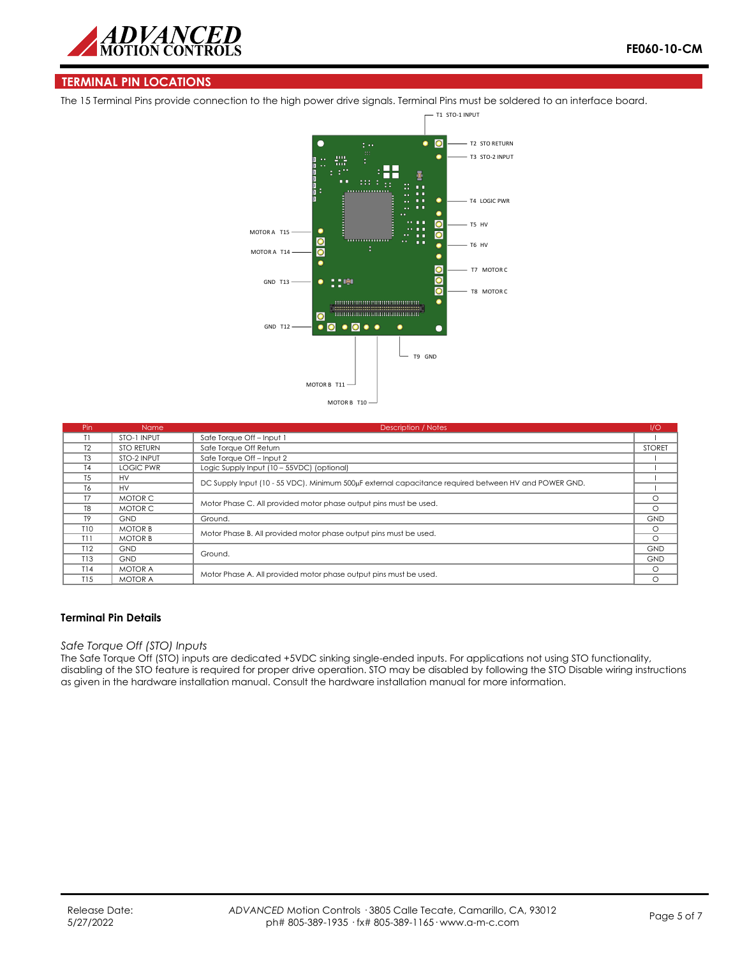

# **TERMINAL PIN LOCATIONS**

The 15 Terminal Pins provide connection to the high power drive signals. Terminal Pins must be soldered to an interface board.



| Pin            | <b>Name</b>       | <b>Description / Notes</b>                                                                           | 1/O           |
|----------------|-------------------|------------------------------------------------------------------------------------------------------|---------------|
|                | STO-1 INPUT       | Safe Torque Off - Input 1                                                                            |               |
| T2             | <b>STO RETURN</b> | Safe Torque Off Return                                                                               | <b>STORET</b> |
| T <sub>3</sub> | STO-2 INPUT       | Safe Torque Off - Input 2                                                                            |               |
| <b>T4</b>      | <b>LOGIC PWR</b>  | Logic Supply Input (10 - 55VDC) (optional)                                                           |               |
| <b>T5</b>      | <b>HV</b>         | DC Supply Input (10 - 55 VDC). Minimum 500µF external capacitance required between HV and POWER GND. |               |
| T <sub>6</sub> | <b>HV</b>         |                                                                                                      |               |
| T7             | MOTOR C           | Motor Phase C. All provided motor phase output pins must be used.                                    |               |
| T <sub>8</sub> | MOTOR C           |                                                                                                      |               |
| T <sub>9</sub> | <b>GND</b>        | Ground.                                                                                              | <b>GND</b>    |
| T10            | <b>MOTOR B</b>    | Motor Phase B. All provided motor phase output pins must be used.                                    |               |
| T11            | <b>MOTOR B</b>    |                                                                                                      |               |
| T12            | <b>GND</b>        | Ground.                                                                                              |               |
| T13            | <b>GND</b>        |                                                                                                      |               |
| T14            | <b>MOTOR A</b>    | Motor Phase A. All provided motor phase output pins must be used.                                    |               |
| T15            | <b>MOTOR A</b>    |                                                                                                      |               |

### **Terminal Pin Details**

### *Safe Torque Off (STO) Inputs*

The Safe Torque Off (STO) inputs are dedicated +5VDC sinking single-ended inputs. For applications not using STO functionality, disabling of the STO feature is required for proper drive operation. STO may be disabled by following the STO Disable wiring instructions as given in the hardware installation manual. Consult the hardware installation manual for more information.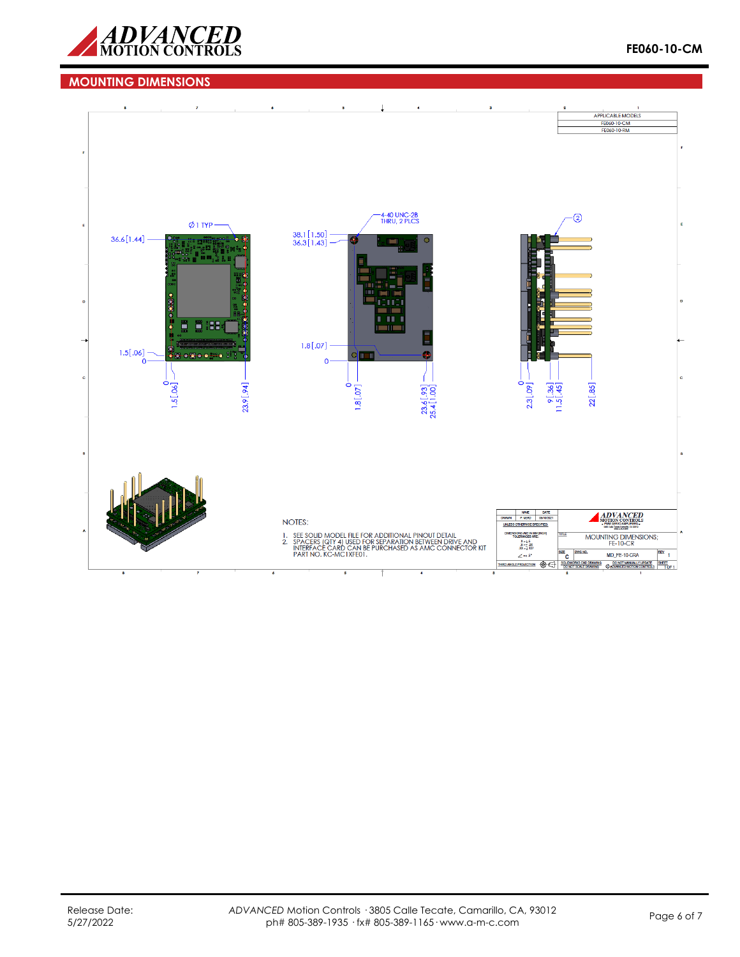

# **MOUNTING DIMENSIONS**